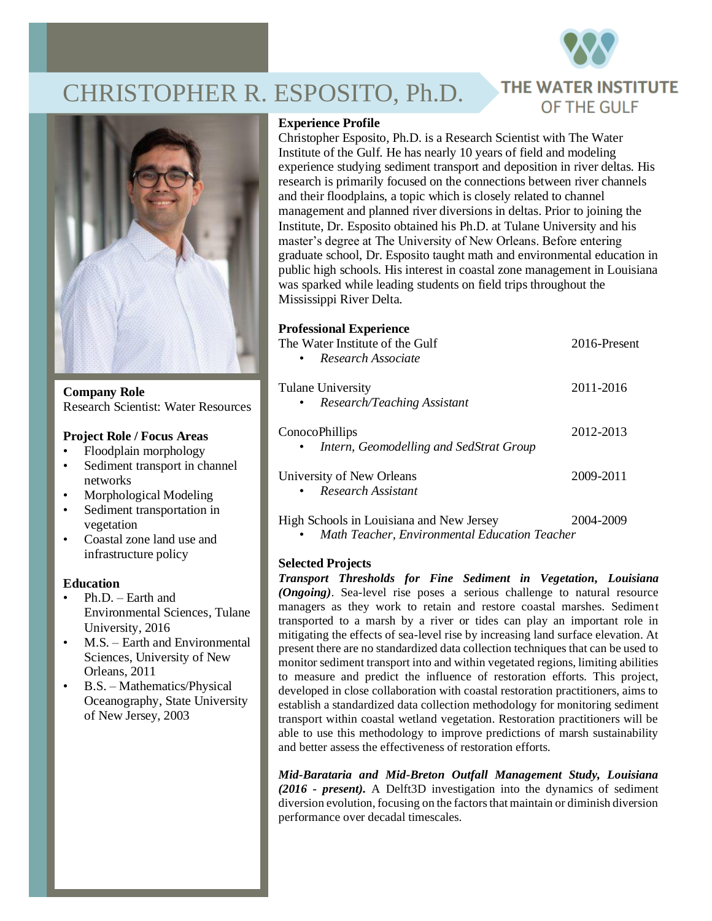

# CHRISTOPHER R. ESPOSITO, Ph.D.



**Company Role** Research Scientist: Water Resources

## **Project Role / Focus Areas**

- Floodplain morphology
- Sediment transport in channel networks
- Morphological Modeling
- Sediment transportation in vegetation
- Coastal zone land use and infrastructure policy

## **Education**

- Ph.D. Earth and Environmental Sciences, Tulane University, 2016
- M.S. Earth and Environmental Sciences, University of New Orleans, 2011
- B.S. Mathematics/Physical Oceanography, State University of New Jersey, 2003

## **Experience Profile**

Christopher Esposito, Ph.D. is a Research Scientist with The Water Institute of the Gulf. He has nearly 10 years of field and modeling experience studying sediment transport and deposition in river deltas. His research is primarily focused on the connections between river channels and their floodplains, a topic which is closely related to channel management and planned river diversions in deltas. Prior to joining the Institute, Dr. Esposito obtained his Ph.D. at Tulane University and his master's degree at The University of New Orleans. Before entering graduate school, Dr. Esposito taught math and environmental education in public high schools. His interest in coastal zone management in Louisiana was sparked while leading students on field trips throughout the Mississippi River Delta.

# **Professional Experience**

| The Water Institute of the Gulf<br>Research Associate<br>$\bullet$     | 2016-Present |
|------------------------------------------------------------------------|--------------|
| Tulane University<br>Research/Teaching Assistant<br>$\bullet$          | 2011-2016    |
| ConocoPhillips<br>Intern, Geomodelling and SedStrat Group<br>$\bullet$ | 2012-2013    |
| University of New Orleans<br>Research Assistant<br>$\bullet$           | 2009-2011    |

High Schools in Louisiana and New Jersey 2004-2009 • *Math Teacher, Environmental Education Teacher*

## **Selected Projects**

*Transport Thresholds for Fine Sediment in Vegetation, Louisiana (Ongoing)*. Sea-level rise poses a serious challenge to natural resource managers as they work to retain and restore coastal marshes. Sediment transported to a marsh by a river or tides can play an important role in mitigating the effects of sea-level rise by increasing land surface elevation. At present there are no standardized data collection techniques that can be used to monitor sediment transport into and within vegetated regions, limiting abilities to measure and predict the influence of restoration efforts. This project, developed in close collaboration with coastal restoration practitioners, aims to establish a standardized data collection methodology for monitoring sediment transport within coastal wetland vegetation. Restoration practitioners will be able to use this methodology to improve predictions of marsh sustainability and better assess the effectiveness of restoration efforts.

*Mid-Barataria and Mid-Breton Outfall Management Study, Louisiana (2016 - present).* A Delft3D investigation into the dynamics of sediment diversion evolution, focusing on the factors that maintain or diminish diversion performance over decadal timescales.